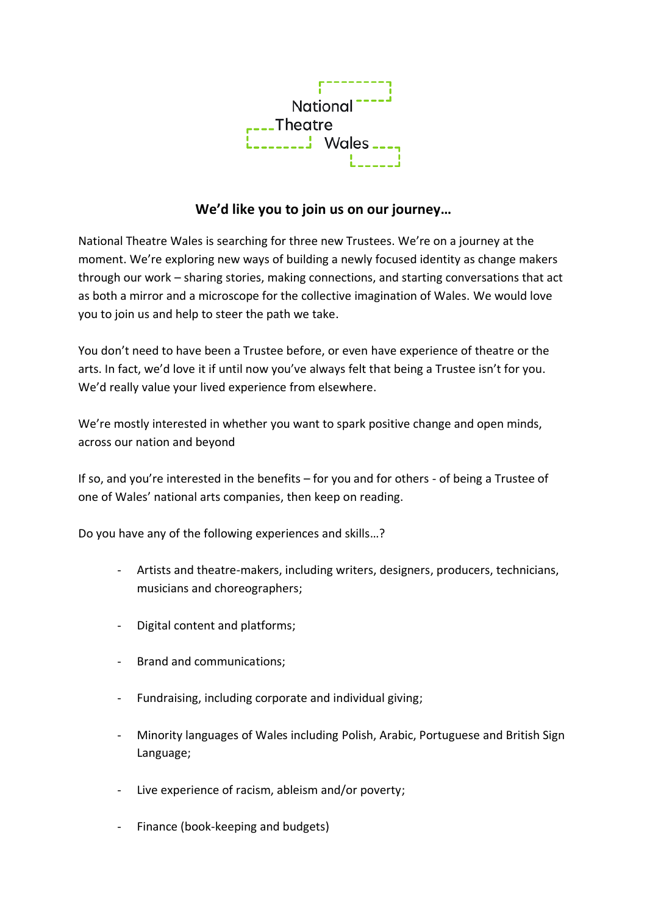

## **We'd like you to join us on our journey…**

National Theatre Wales is searching for three new Trustees. We're on a journey at the moment. We're exploring new ways of building a newly focused identity as change makers through our work – sharing stories, making connections, and starting conversations that act as both a mirror and a microscope for the collective imagination of Wales. We would love you to join us and help to steer the path we take.

You don't need to have been a Trustee before, or even have experience of theatre or the arts. In fact, we'd love it if until now you've always felt that being a Trustee isn't for you. We'd really value your lived experience from elsewhere.

We're mostly interested in whether you want to spark positive change and open minds, across our nation and beyond

If so, and you're interested in the benefits – for you and for others - of being a Trustee of one of Wales' national arts companies, then keep on reading.

Do you have any of the following experiences and skills…?

- Artists and theatre-makers, including writers, designers, producers, technicians, musicians and choreographers;
- Digital content and platforms;
- Brand and communications;
- Fundraising, including corporate and individual giving;
- Minority languages of Wales including Polish, Arabic, Portuguese and British Sign Language;
- Live experience of racism, ableism and/or poverty;
- Finance (book-keeping and budgets)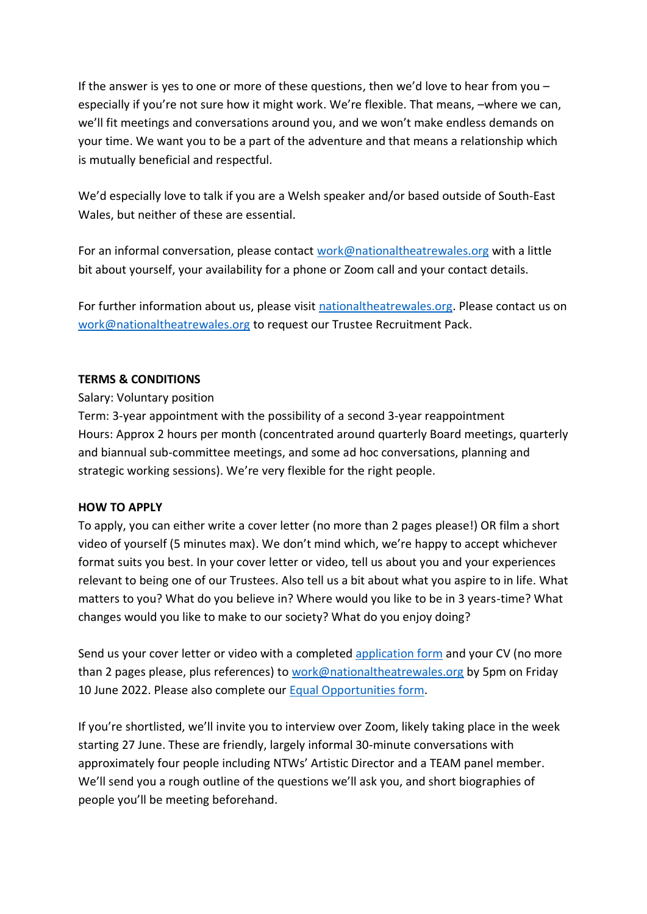If the answer is yes to one or more of these questions, then we'd love to hear from you – especially if you're not sure how it might work. We're flexible. That means, –where we can, we'll fit meetings and conversations around you, and we won't make endless demands on your time. We want you to be a part of the adventure and that means a relationship which is mutually beneficial and respectful.

We'd especially love to talk if you are a Welsh speaker and/or based outside of South-East Wales, but neither of these are essential.

For an informal conversation, please contact [work@nationaltheatrewales.org](mailto:work@nationaltheatrewales.org) with a little bit about yourself, your availability for a phone or Zoom call and your contact details.

For further information about us, please visit [nationaltheatrewales.org.](http://nationaltheatrewales.org/) Please contact us on [work@nationaltheatrewales.org](mailto:work@nationaltheatrewales.org) to request our Trustee Recruitment Pack.

## **TERMS & CONDITIONS**

## Salary: Voluntary position

Term: 3-year appointment with the possibility of a second 3-year reappointment Hours: Approx 2 hours per month (concentrated around quarterly Board meetings, quarterly and biannual sub-committee meetings, and some ad hoc conversations, planning and strategic working sessions). We're very flexible for the right people.

## **HOW TO APPLY**

To apply, you can either write a cover letter (no more than 2 pages please!) OR film a short video of yourself (5 minutes max). We don't mind which, we're happy to accept whichever format suits you best. In your cover letter or video, tell us about you and your experiences relevant to being one of our Trustees. Also tell us a bit about what you aspire to in life. What matters to you? What do you believe in? Where would you like to be in 3 years-time? What changes would you like to make to our society? What do you enjoy doing?

Send us your cover letter or video with a completed [application form](https://www.nationaltheatrewales.org/wp-content/uploads/2021/10/NTW-Application-Form-Oct-2021.docx) and your CV (no more than 2 pages please, plus references) to [work@nationaltheatrewales.org](mailto:work@nationaltheatrewales.org) by 5pm on Friday 10 June 2022. Please also complete our **Equal Opportunities form.** 

If you're shortlisted, we'll invite you to interview over Zoom, likely taking place in the week starting 27 June. These are friendly, largely informal 30-minute conversations with approximately four people including NTWs' Artistic Director and a TEAM panel member. We'll send you a rough outline of the questions we'll ask you, and short biographies of people you'll be meeting beforehand.